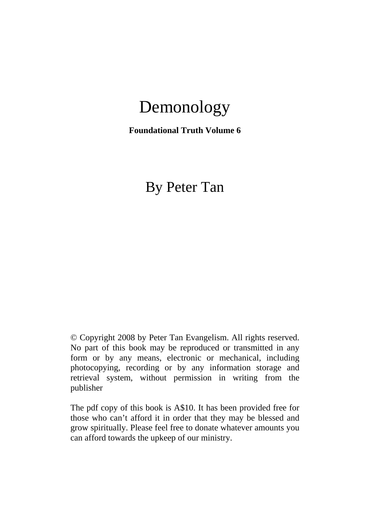# Demonology

**Foundational Truth Volume 6** 

# By Peter Tan

© Copyright 2008 by Peter Tan Evangelism. All rights reserved. No part of this book may be reproduced or transmitted in any form or by any means, electronic or mechanical, including photocopying, recording or by any information storage and retrieval system, without permission in writing from the publisher

The pdf copy of this book is A\$10. It has been provided free for those who can't afford it in order that they may be blessed and grow spiritually. Please feel free to donate whatever amounts you can afford towards the upkeep of our ministry.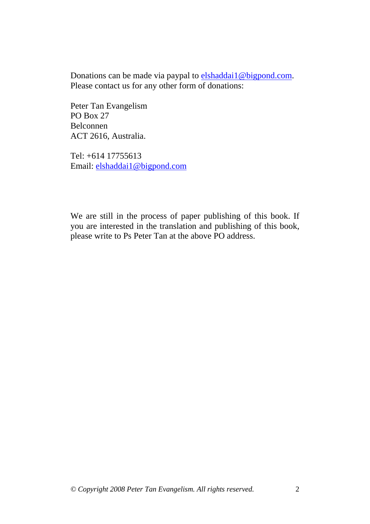Donations can be made via paypal to elshaddai1@bigpond.com. Please contact us for any other form of donations:

Peter Tan Evangelism PO Box 27 Belconnen ACT 2616, Australia.

Tel: +614 17755613 Email: elshaddai1@bigpond.com

We are still in the process of paper publishing of this book. If you are interested in the translation and publishing of this book, please write to Ps Peter Tan at the above PO address.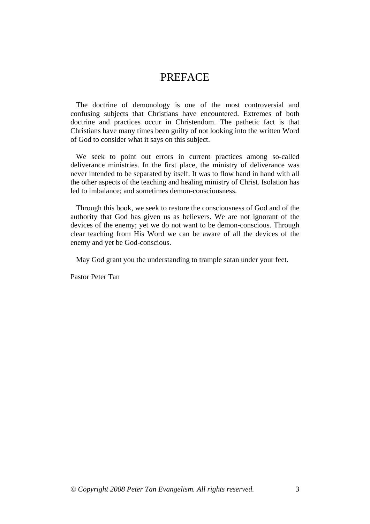### PREFACE

 The doctrine of demonology is one of the most controversial and confusing subjects that Christians have encountered. Extremes of both doctrine and practices occur in Christendom. The pathetic fact is that Christians have many times been guilty of not looking into the written Word of God to consider what it says on this subject.

 We seek to point out errors in current practices among so-called deliverance ministries. In the first place, the ministry of deliverance was never intended to be separated by itself. It was to flow hand in hand with all the other aspects of the teaching and healing ministry of Christ. Isolation has led to imbalance; and sometimes demon-consciousness.

 Through this book, we seek to restore the consciousness of God and of the authority that God has given us as believers. We are not ignorant of the devices of the enemy; yet we do not want to be demon-conscious. Through clear teaching from His Word we can be aware of all the devices of the enemy and yet be God-conscious.

May God grant you the understanding to trample satan under your feet.

Pastor Peter Tan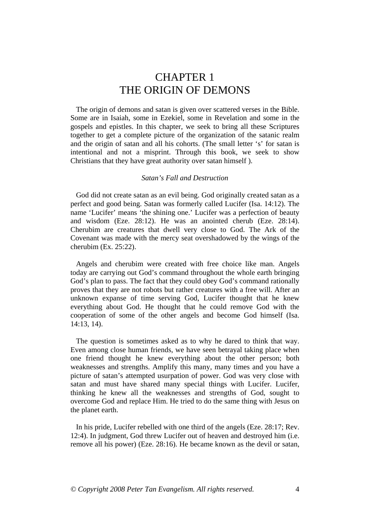### CHAPTER 1 THE ORIGIN OF DEMONS

 The origin of demons and satan is given over scattered verses in the Bible. Some are in Isaiah, some in Ezekiel, some in Revelation and some in the gospels and epistles. In this chapter, we seek to bring all these Scriptures together to get a complete picture of the organization of the satanic realm and the origin of satan and all his cohorts. (The small letter 's' for satan is intentional and not a misprint. Through this book, we seek to show Christians that they have great authority over satan himself ).

#### *Satan's Fall and Destruction*

 God did not create satan as an evil being. God originally created satan as a perfect and good being. Satan was formerly called Lucifer (Isa. 14:12). The name 'Lucifer' means 'the shining one.' Lucifer was a perfection of beauty and wisdom (Eze. 28:12). He was an anointed cherub (Eze. 28:14). Cherubim are creatures that dwell very close to God. The Ark of the Covenant was made with the mercy seat overshadowed by the wings of the cherubim (Ex. 25:22).

 Angels and cherubim were created with free choice like man. Angels today are carrying out God's command throughout the whole earth bringing God's plan to pass. The fact that they could obey God's command rationally proves that they are not robots but rather creatures with a free will. After an unknown expanse of time serving God, Lucifer thought that he knew everything about God. He thought that he could remove God with the cooperation of some of the other angels and become God himself (Isa. 14:13, 14).

 The question is sometimes asked as to why he dared to think that way. Even among close human friends, we have seen betrayal taking place when one friend thought he knew everything about the other person; both weaknesses and strengths. Amplify this many, many times and you have a picture of satan's attempted usurpation of power. God was very close with satan and must have shared many special things with Lucifer. Lucifer, thinking he knew all the weaknesses and strengths of God, sought to overcome God and replace Him. He tried to do the same thing with Jesus on the planet earth.

 In his pride, Lucifer rebelled with one third of the angels (Eze. 28:17; Rev. 12:4). In judgment, God threw Lucifer out of heaven and destroyed him (i.e. remove all his power) (Eze. 28:16). He became known as the devil or satan,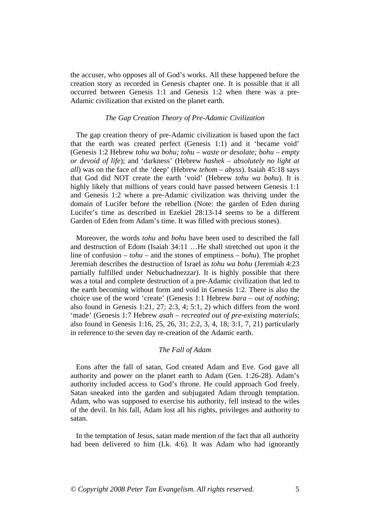the accuser, who opposes all of God's works. All these happened before the creation story as recorded in Genesis chapter one. It is possible that it all occurred between Genesis 1:1 and Genesis 1:2 when there was a pre-Adamic civilization that existed on the planet earth.

#### *The Gap Creation Theory of Pre-Adamic Civilization*

 The gap creation theory of pre-Adamic civilization is based upon the fact that the earth was created perfect (Genesis 1:1) and it 'became void' (Genesis 1:2 Hebrew *tohu wa bohu; tohu – waste or desolate; bohu – empty or devoid of life*); and 'darkness' (Hebrew *hashek* – *absolutely no light at all*) was on the face of the 'deep' (Hebrew *tehom* – *abyss*). Isaiah 45:18 says that God did NOT create the earth 'void' (Hebrew *tohu wa bohu*). It is highly likely that millions of years could have passed between Genesis 1:1 and Genesis 1:2 where a pre-Adamic civilization was thriving under the domain of Lucifer before the rebellion (Note: the garden of Eden during Lucifer's time as described in Ezekiel 28:13-14 seems to be a different Garden of Eden from Adam's time. It was filled with precious stones).

 Moreover, the words *tohu* and *bohu* have been used to described the fall and destruction of Edom (Isaiah 34:11 …He shall stretched out upon it the line of confusion – *tohu* – and the stones of emptiness – *bohu*). The prophet Jeremiah describes the destruction of Israel as *tohu wa bohu* (Jeremiah 4:23 partially fulfilled under Nebuchadnezzar). It is highly possible that there was a total and complete destruction of a pre-Adamic civilization that led to the earth becoming without form and void in Genesis 1:2. There is also the choice use of the word 'create' (Genesis 1:1 Hebrew *bara – out of nothing*; also found in Genesis 1:21, 27; 2:3, 4; 5:1, 2) which differs from the word 'made' (Genesis 1:7 Hebrew *asah – recreated out of pre-existing materials*; also found in Genesis 1:16, 25, 26, 31; 2:2, 3, 4, 18; 3:1, 7, 21) particularly in reference to the seven day re-creation of the Adamic earth.

#### *The Fall of Adam*

 Eons after the fall of satan, God created Adam and Eve. God gave all authority and power on the planet earth to Adam (Gen. 1:26-28). Adam's authority included access to God's throne. He could approach God freely. Satan sneaked into the garden and subjugated Adam through temptation. Adam, who was supposed to exercise his authority, fell instead to the wiles of the devil. In his fall, Adam lost all his rights, privileges and authority to satan.

 In the temptation of Jesus, satan made mention of the fact that all authority had been delivered to him (Lk. 4:6). It was Adam who had ignorantly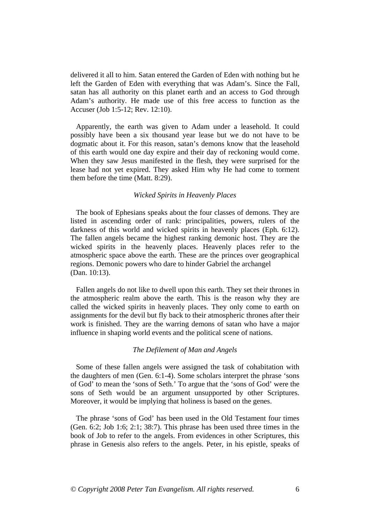delivered it all to him. Satan entered the Garden of Eden with nothing but he left the Garden of Eden with everything that was Adam's. Since the Fall, satan has all authority on this planet earth and an access to God through Adam's authority. He made use of this free access to function as the Accuser (Job 1:5-12; Rev. 12:10).

 Apparently, the earth was given to Adam under a leasehold. It could possibly have been a six thousand year lease but we do not have to be dogmatic about it. For this reason, satan's demons know that the leasehold of this earth would one day expire and their day of reckoning would come. When they saw Jesus manifested in the flesh, they were surprised for the lease had not yet expired. They asked Him why He had come to torment them before the time (Matt. 8:29).

#### *Wicked Spirits in Heavenly Places*

 The book of Ephesians speaks about the four classes of demons. They are listed in ascending order of rank: principalities, powers, rulers of the darkness of this world and wicked spirits in heavenly places (Eph. 6:12). The fallen angels became the highest ranking demonic host. They are the wicked spirits in the heavenly places. Heavenly places refer to the atmospheric space above the earth. These are the princes over geographical regions. Demonic powers who dare to hinder Gabriel the archangel (Dan. 10:13).

 Fallen angels do not like to dwell upon this earth. They set their thrones in the atmospheric realm above the earth. This is the reason why they are called the wicked spirits in heavenly places. They only come to earth on assignments for the devil but fly back to their atmospheric thrones after their work is finished. They are the warring demons of satan who have a major influence in shaping world events and the political scene of nations.

#### *The Defilement of Man and Angels*

 Some of these fallen angels were assigned the task of cohabitation with the daughters of men (Gen. 6:1-4). Some scholars interpret the phrase 'sons of God' to mean the 'sons of Seth.' To argue that the 'sons of God' were the sons of Seth would be an argument unsupported by other Scriptures. Moreover, it would be implying that holiness is based on the genes.

 The phrase 'sons of God' has been used in the Old Testament four times (Gen. 6:2; Job 1:6; 2:1; 38:7). This phrase has been used three times in the book of Job to refer to the angels. From evidences in other Scriptures, this phrase in Genesis also refers to the angels. Peter, in his epistle, speaks of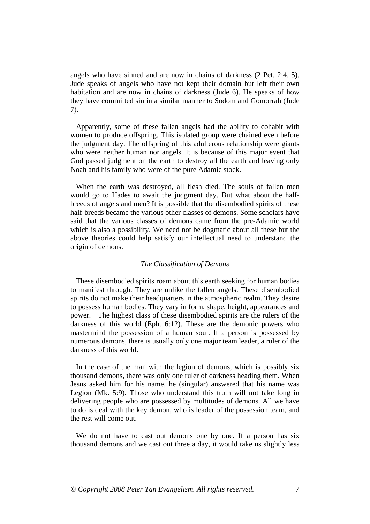angels who have sinned and are now in chains of darkness (2 Pet. 2:4, 5). Jude speaks of angels who have not kept their domain but left their own habitation and are now in chains of darkness (Jude 6). He speaks of how they have committed sin in a similar manner to Sodom and Gomorrah (Jude 7).

 Apparently, some of these fallen angels had the ability to cohabit with women to produce offspring. This isolated group were chained even before the judgment day. The offspring of this adulterous relationship were giants who were neither human nor angels. It is because of this major event that God passed judgment on the earth to destroy all the earth and leaving only Noah and his family who were of the pure Adamic stock.

 When the earth was destroyed, all flesh died. The souls of fallen men would go to Hades to await the judgment day. But what about the halfbreeds of angels and men? It is possible that the disembodied spirits of these half-breeds became the various other classes of demons. Some scholars have said that the various classes of demons came from the pre-Adamic world which is also a possibility. We need not be dogmatic about all these but the above theories could help satisfy our intellectual need to understand the origin of demons.

#### *The Classification of Demons*

 These disembodied spirits roam about this earth seeking for human bodies to manifest through. They are unlike the fallen angels. These disembodied spirits do not make their headquarters in the atmospheric realm. They desire to possess human bodies. They vary in form, shape, height, appearances and power. The highest class of these disembodied spirits are the rulers of the darkness of this world (Eph. 6:12). These are the demonic powers who mastermind the possession of a human soul. If a person is possessed by numerous demons, there is usually only one major team leader, a ruler of the darkness of this world.

 In the case of the man with the legion of demons, which is possibly six thousand demons, there was only one ruler of darkness heading them. When Jesus asked him for his name, he (singular) answered that his name was Legion (Mk. 5:9). Those who understand this truth will not take long in delivering people who are possessed by multitudes of demons. All we have to do is deal with the key demon, who is leader of the possession team, and the rest will come out.

 We do not have to cast out demons one by one. If a person has six thousand demons and we cast out three a day, it would take us slightly less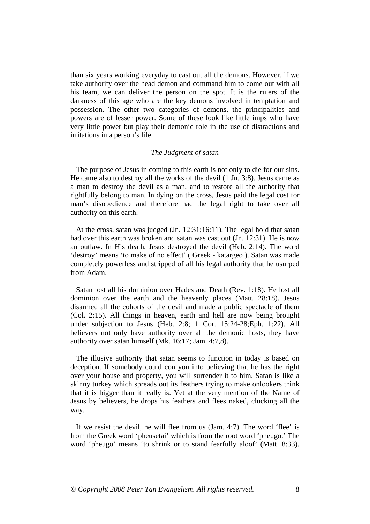than six years working everyday to cast out all the demons. However, if we take authority over the head demon and command him to come out with all his team, we can deliver the person on the spot. It is the rulers of the darkness of this age who are the key demons involved in temptation and possession. The other two categories of demons, the principalities and powers are of lesser power. Some of these look like little imps who have very little power but play their demonic role in the use of distractions and irritations in a person's life.

#### *The Judgment of satan*

 The purpose of Jesus in coming to this earth is not only to die for our sins. He came also to destroy all the works of the devil (1 Jn. 3:8). Jesus came as a man to destroy the devil as a man, and to restore all the authority that rightfully belong to man. In dying on the cross, Jesus paid the legal cost for man's disobedience and therefore had the legal right to take over all authority on this earth.

 At the cross, satan was judged (Jn. 12:31;16:11). The legal hold that satan had over this earth was broken and satan was cast out (Jn. 12:31). He is now an outlaw. In His death, Jesus destroyed the devil (Heb. 2:14). The word 'destroy' means 'to make of no effect' ( Greek - katargeo ). Satan was made completely powerless and stripped of all his legal authority that he usurped from Adam.

 Satan lost all his dominion over Hades and Death (Rev. 1:18). He lost all dominion over the earth and the heavenly places (Matt. 28:18). Jesus disarmed all the cohorts of the devil and made a public spectacle of them (Col. 2:15). All things in heaven, earth and hell are now being brought under subjection to Jesus (Heb. 2:8; 1 Cor. 15:24-28;Eph. 1:22). All believers not only have authority over all the demonic hosts, they have authority over satan himself (Mk. 16:17; Jam. 4:7,8).

 The illusive authority that satan seems to function in today is based on deception. If somebody could con you into believing that he has the right over your house and property, you will surrender it to him. Satan is like a skinny turkey which spreads out its feathers trying to make onlookers think that it is bigger than it really is. Yet at the very mention of the Name of Jesus by believers, he drops his feathers and flees naked, clucking all the way.

 If we resist the devil, he will flee from us (Jam. 4:7). The word 'flee' is from the Greek word 'pheusetai' which is from the root word 'pheugo.' The word 'pheugo' means 'to shrink or to stand fearfully aloof' (Matt. 8:33).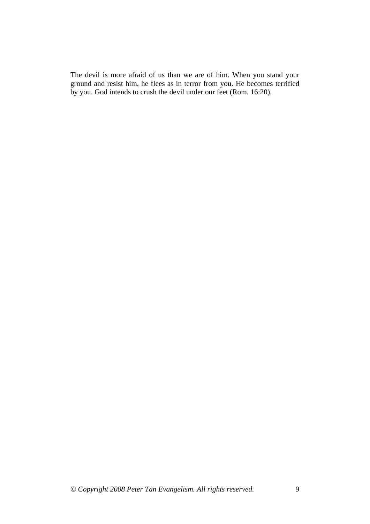The devil is more afraid of us than we are of him. When you stand your ground and resist him, he flees as in terror from you. He becomes terrified by you. God intends to crush the devil under our feet (Rom. 16:20).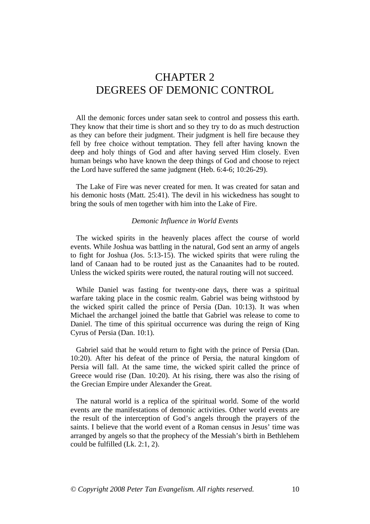## CHAPTER 2 DEGREES OF DEMONIC CONTROL

 All the demonic forces under satan seek to control and possess this earth. They know that their time is short and so they try to do as much destruction as they can before their judgment. Their judgment is hell fire because they fell by free choice without temptation. They fell after having known the deep and holy things of God and after having served Him closely. Even human beings who have known the deep things of God and choose to reject the Lord have suffered the same judgment (Heb. 6:4-6; 10:26-29).

 The Lake of Fire was never created for men. It was created for satan and his demonic hosts (Matt. 25:41). The devil in his wickedness has sought to bring the souls of men together with him into the Lake of Fire.

#### *Demonic Influence in World Events*

 The wicked spirits in the heavenly places affect the course of world events. While Joshua was battling in the natural, God sent an army of angels to fight for Joshua (Jos. 5:13-15). The wicked spirits that were ruling the land of Canaan had to be routed just as the Canaanites had to be routed. Unless the wicked spirits were routed, the natural routing will not succeed.

 While Daniel was fasting for twenty-one days, there was a spiritual warfare taking place in the cosmic realm. Gabriel was being withstood by the wicked spirit called the prince of Persia (Dan. 10:13). It was when Michael the archangel joined the battle that Gabriel was release to come to Daniel. The time of this spiritual occurrence was during the reign of King Cyrus of Persia (Dan. 10:1).

 Gabriel said that he would return to fight with the prince of Persia (Dan. 10:20). After his defeat of the prince of Persia, the natural kingdom of Persia will fall. At the same time, the wicked spirit called the prince of Greece would rise (Dan. 10:20). At his rising, there was also the rising of the Grecian Empire under Alexander the Great.

 The natural world is a replica of the spiritual world. Some of the world events are the manifestations of demonic activities. Other world events are the result of the interception of God's angels through the prayers of the saints. I believe that the world event of a Roman census in Jesus' time was arranged by angels so that the prophecy of the Messiah's birth in Bethlehem could be fulfilled (Lk. 2:1, 2).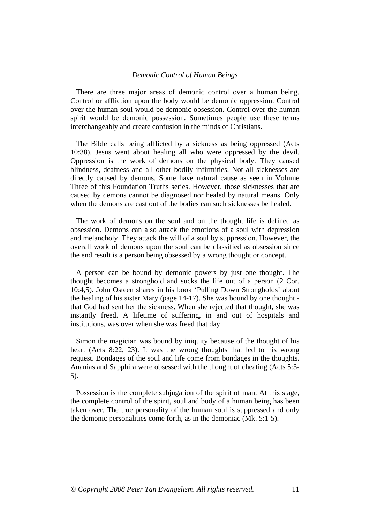#### *Demonic Control of Human Beings*

 There are three major areas of demonic control over a human being. Control or affliction upon the body would be demonic oppression. Control over the human soul would be demonic obsession. Control over the human spirit would be demonic possession. Sometimes people use these terms interchangeably and create confusion in the minds of Christians.

 The Bible calls being afflicted by a sickness as being oppressed (Acts 10:38). Jesus went about healing all who were oppressed by the devil. Oppression is the work of demons on the physical body. They caused blindness, deafness and all other bodily infirmities. Not all sicknesses are directly caused by demons. Some have natural cause as seen in Volume Three of this Foundation Truths series. However, those sicknesses that are caused by demons cannot be diagnosed nor healed by natural means. Only when the demons are cast out of the bodies can such sicknesses be healed.

 The work of demons on the soul and on the thought life is defined as obsession. Demons can also attack the emotions of a soul with depression and melancholy. They attack the will of a soul by suppression. However, the overall work of demons upon the soul can be classified as obsession since the end result is a person being obsessed by a wrong thought or concept.

 A person can be bound by demonic powers by just one thought. The thought becomes a stronghold and sucks the life out of a person (2 Cor. 10:4,5). John Osteen shares in his book 'Pulling Down Strongholds' about the healing of his sister Mary (page 14-17). She was bound by one thought that God had sent her the sickness. When she rejected that thought, she was instantly freed. A lifetime of suffering, in and out of hospitals and institutions, was over when she was freed that day.

 Simon the magician was bound by iniquity because of the thought of his heart (Acts 8:22, 23). It was the wrong thoughts that led to his wrong request. Bondages of the soul and life come from bondages in the thoughts. Ananias and Sapphira were obsessed with the thought of cheating (Acts 5:3- 5).

 Possession is the complete subjugation of the spirit of man. At this stage, the complete control of the spirit, soul and body of a human being has been taken over. The true personality of the human soul is suppressed and only the demonic personalities come forth, as in the demoniac (Mk. 5:1-5).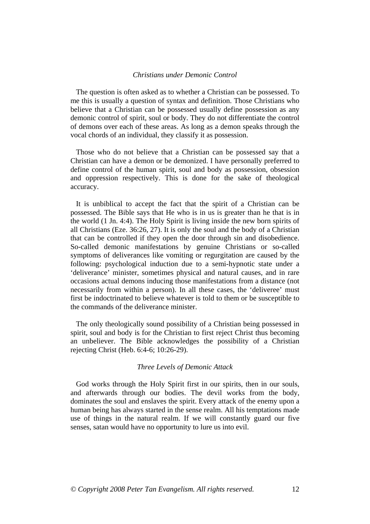#### *Christians under Demonic Control*

 The question is often asked as to whether a Christian can be possessed. To me this is usually a question of syntax and definition. Those Christians who believe that a Christian can be possessed usually define possession as any demonic control of spirit, soul or body. They do not differentiate the control of demons over each of these areas. As long as a demon speaks through the vocal chords of an individual, they classify it as possession.

 Those who do not believe that a Christian can be possessed say that a Christian can have a demon or be demonized. I have personally preferred to define control of the human spirit, soul and body as possession, obsession and oppression respectively. This is done for the sake of theological accuracy.

 It is unbiblical to accept the fact that the spirit of a Christian can be possessed. The Bible says that He who is in us is greater than he that is in the world (1 Jn. 4:4). The Holy Spirit is living inside the new born spirits of all Christians (Eze. 36:26, 27). It is only the soul and the body of a Christian that can be controlled if they open the door through sin and disobedience. So-called demonic manifestations by genuine Christians or so-called symptoms of deliverances like vomiting or regurgitation are caused by the following: psychological induction due to a semi-hypnotic state under a 'deliverance' minister, sometimes physical and natural causes, and in rare occasions actual demons inducing those manifestations from a distance (not necessarily from within a person). In all these cases, the 'deliveree' must first be indoctrinated to believe whatever is told to them or be susceptible to the commands of the deliverance minister.

 The only theologically sound possibility of a Christian being possessed in spirit, soul and body is for the Christian to first reject Christ thus becoming an unbeliever. The Bible acknowledges the possibility of a Christian rejecting Christ (Heb. 6:4-6; 10:26-29).

#### *Three Levels of Demonic Attack*

 God works through the Holy Spirit first in our spirits, then in our souls, and afterwards through our bodies. The devil works from the body, dominates the soul and enslaves the spirit. Every attack of the enemy upon a human being has always started in the sense realm. All his temptations made use of things in the natural realm. If we will constantly guard our five senses, satan would have no opportunity to lure us into evil.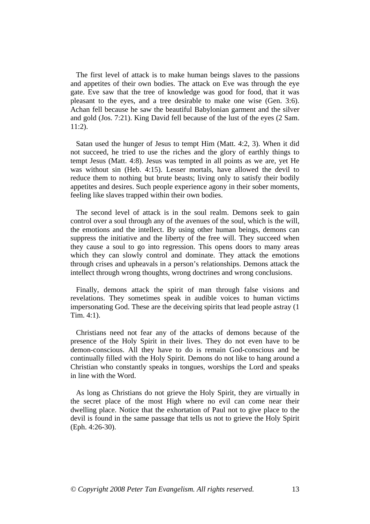The first level of attack is to make human beings slaves to the passions and appetites of their own bodies. The attack on Eve was through the eye gate. Eve saw that the tree of knowledge was good for food, that it was pleasant to the eyes, and a tree desirable to make one wise (Gen. 3:6). Achan fell because he saw the beautiful Babylonian garment and the silver and gold (Jos. 7:21). King David fell because of the lust of the eyes (2 Sam. 11:2).

 Satan used the hunger of Jesus to tempt Him (Matt. 4:2, 3). When it did not succeed, he tried to use the riches and the glory of earthly things to tempt Jesus (Matt. 4:8). Jesus was tempted in all points as we are, yet He was without sin (Heb. 4:15). Lesser mortals, have allowed the devil to reduce them to nothing but brute beasts; living only to satisfy their bodily appetites and desires. Such people experience agony in their sober moments, feeling like slaves trapped within their own bodies.

 The second level of attack is in the soul realm. Demons seek to gain control over a soul through any of the avenues of the soul, which is the will, the emotions and the intellect. By using other human beings, demons can suppress the initiative and the liberty of the free will. They succeed when they cause a soul to go into regression. This opens doors to many areas which they can slowly control and dominate. They attack the emotions through crises and upheavals in a person's relationships. Demons attack the intellect through wrong thoughts, wrong doctrines and wrong conclusions.

 Finally, demons attack the spirit of man through false visions and revelations. They sometimes speak in audible voices to human victims impersonating God. These are the deceiving spirits that lead people astray (1 Tim. 4:1).

 Christians need not fear any of the attacks of demons because of the presence of the Holy Spirit in their lives. They do not even have to be demon-conscious. All they have to do is remain God-conscious and be continually filled with the Holy Spirit. Demons do not like to hang around a Christian who constantly speaks in tongues, worships the Lord and speaks in line with the Word.

 As long as Christians do not grieve the Holy Spirit, they are virtually in the secret place of the most High where no evil can come near their dwelling place. Notice that the exhortation of Paul not to give place to the devil is found in the same passage that tells us not to grieve the Holy Spirit (Eph. 4:26-30).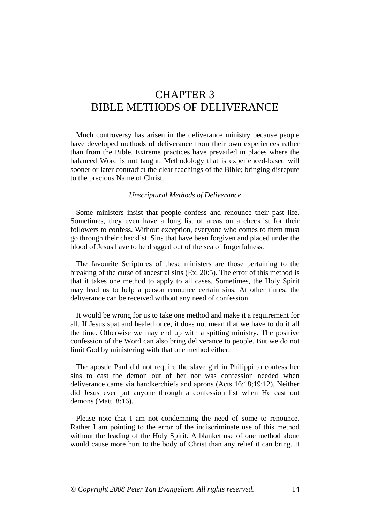# CHAPTER 3 BIBLE METHODS OF DELIVERANCE

 Much controversy has arisen in the deliverance ministry because people have developed methods of deliverance from their own experiences rather than from the Bible. Extreme practices have prevailed in places where the balanced Word is not taught. Methodology that is experienced-based will sooner or later contradict the clear teachings of the Bible; bringing disrepute to the precious Name of Christ.

#### *Unscriptural Methods of Deliverance*

 Some ministers insist that people confess and renounce their past life. Sometimes, they even have a long list of areas on a checklist for their followers to confess. Without exception, everyone who comes to them must go through their checklist. Sins that have been forgiven and placed under the blood of Jesus have to be dragged out of the sea of forgetfulness.

 The favourite Scriptures of these ministers are those pertaining to the breaking of the curse of ancestral sins (Ex. 20:5). The error of this method is that it takes one method to apply to all cases. Sometimes, the Holy Spirit may lead us to help a person renounce certain sins. At other times, the deliverance can be received without any need of confession.

 It would be wrong for us to take one method and make it a requirement for all. If Jesus spat and healed once, it does not mean that we have to do it all the time. Otherwise we may end up with a spitting ministry. The positive confession of the Word can also bring deliverance to people. But we do not limit God by ministering with that one method either.

 The apostle Paul did not require the slave girl in Philippi to confess her sins to cast the demon out of her nor was confession needed when deliverance came via handkerchiefs and aprons (Acts 16:18;19:12). Neither did Jesus ever put anyone through a confession list when He cast out demons (Matt. 8:16).

 Please note that I am not condemning the need of some to renounce. Rather I am pointing to the error of the indiscriminate use of this method without the leading of the Holy Spirit. A blanket use of one method alone would cause more hurt to the body of Christ than any relief it can bring. It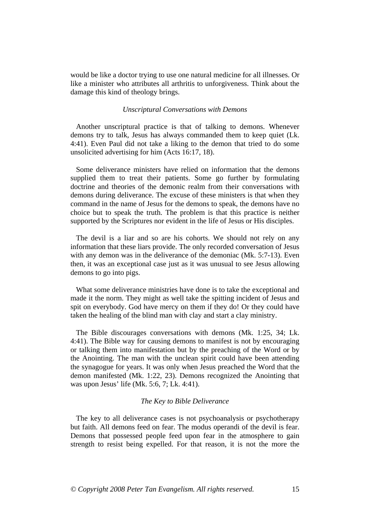would be like a doctor trying to use one natural medicine for all illnesses. Or like a minister who attributes all arthritis to unforgiveness. Think about the damage this kind of theology brings.

#### *Unscriptural Conversations with Demons*

 Another unscriptural practice is that of talking to demons. Whenever demons try to talk, Jesus has always commanded them to keep quiet (Lk. 4:41). Even Paul did not take a liking to the demon that tried to do some unsolicited advertising for him (Acts 16:17, 18).

 Some deliverance ministers have relied on information that the demons supplied them to treat their patients. Some go further by formulating doctrine and theories of the demonic realm from their conversations with demons during deliverance. The excuse of these ministers is that when they command in the name of Jesus for the demons to speak, the demons have no choice but to speak the truth. The problem is that this practice is neither supported by the Scriptures nor evident in the life of Jesus or His disciples.

 The devil is a liar and so are his cohorts. We should not rely on any information that these liars provide. The only recorded conversation of Jesus with any demon was in the deliverance of the demoniac (Mk. 5:7-13). Even then, it was an exceptional case just as it was unusual to see Jesus allowing demons to go into pigs.

 What some deliverance ministries have done is to take the exceptional and made it the norm. They might as well take the spitting incident of Jesus and spit on everybody. God have mercy on them if they do! Or they could have taken the healing of the blind man with clay and start a clay ministry.

 The Bible discourages conversations with demons (Mk. 1:25, 34; Lk. 4:41). The Bible way for causing demons to manifest is not by encouraging or talking them into manifestation but by the preaching of the Word or by the Anointing. The man with the unclean spirit could have been attending the synagogue for years. It was only when Jesus preached the Word that the demon manifested (Mk. 1:22, 23). Demons recognized the Anointing that was upon Jesus' life (Mk. 5:6, 7; Lk. 4:41).

#### *The Key to Bible Deliverance*

 The key to all deliverance cases is not psychoanalysis or psychotherapy but faith. All demons feed on fear. The modus operandi of the devil is fear. Demons that possessed people feed upon fear in the atmosphere to gain strength to resist being expelled. For that reason, it is not the more the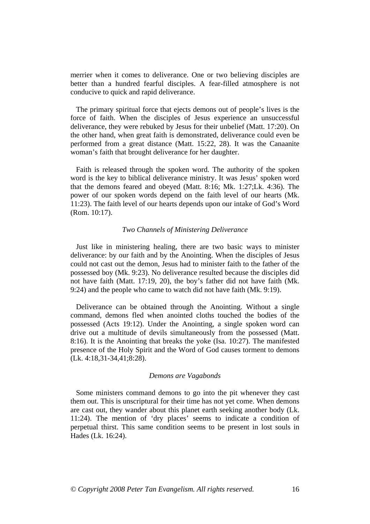merrier when it comes to deliverance. One or two believing disciples are better than a hundred fearful disciples. A fear-filled atmosphere is not conducive to quick and rapid deliverance.

 The primary spiritual force that ejects demons out of people's lives is the force of faith. When the disciples of Jesus experience an unsuccessful deliverance, they were rebuked by Jesus for their unbelief (Matt. 17:20). On the other hand, when great faith is demonstrated, deliverance could even be performed from a great distance (Matt. 15:22, 28). It was the Canaanite woman's faith that brought deliverance for her daughter.

 Faith is released through the spoken word. The authority of the spoken word is the key to biblical deliverance ministry. It was Jesus' spoken word that the demons feared and obeyed (Matt. 8:16; Mk. 1:27;Lk. 4:36). The power of our spoken words depend on the faith level of our hearts (Mk. 11:23). The faith level of our hearts depends upon our intake of God's Word (Rom. 10:17).

#### *Two Channels of Ministering Deliverance*

 Just like in ministering healing, there are two basic ways to minister deliverance: by our faith and by the Anointing. When the disciples of Jesus could not cast out the demon, Jesus had to minister faith to the father of the possessed boy (Mk. 9:23). No deliverance resulted because the disciples did not have faith (Matt. 17:19, 20), the boy's father did not have faith (Mk. 9:24) and the people who came to watch did not have faith (Mk. 9:19).

 Deliverance can be obtained through the Anointing. Without a single command, demons fled when anointed cloths touched the bodies of the possessed (Acts 19:12). Under the Anointing, a single spoken word can drive out a multitude of devils simultaneously from the possessed (Matt. 8:16). It is the Anointing that breaks the yoke (Isa. 10:27). The manifested presence of the Holy Spirit and the Word of God causes torment to demons (Lk. 4:18,31-34,41;8:28).

#### *Demons are Vagabonds*

 Some ministers command demons to go into the pit whenever they cast them out. This is unscriptural for their time has not yet come. When demons are cast out, they wander about this planet earth seeking another body (Lk. 11:24). The mention of 'dry places' seems to indicate a condition of perpetual thirst. This same condition seems to be present in lost souls in Hades (Lk. 16:24).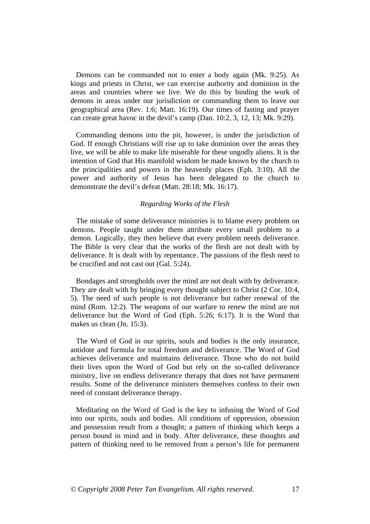Demons can be commanded not to enter a body again (Mk. 9:25). As kings and priests in Christ, we can exercise authority and dominion in the areas and countries where we live. We do this by binding the work of demons in areas under our jurisdiction or commanding them to leave our geographical area (Rev. 1:6; Matt. 16:19). Our times of fasting and prayer can create great havoc in the devil's camp (Dan. 10:2, 3, 12, 13; Mk. 9:29).

 Commanding demons into the pit, however, is under the jurisdiction of God. If enough Christians will rise up to take dominion over the areas they live, we will be able to make life miserable for these ungodly aliens. It is the intention of God that His manifold wisdom be made known by the church to the principalities and powers in the heavenly places (Eph. 3:10). All the power and authority of Jesus has been delegated to the church to demonstrate the devil's defeat (Matt. 28:18; Mk. 16:17).

#### *Regarding Works of the Flesh*

 The mistake of some deliverance ministries is to blame every problem on demons. People taught under them attribute every small problem to a demon. Logically, they then believe that every problem needs deliverance. The Bible is very clear that the works of the flesh are not dealt with by deliverance. It is dealt with by repentance. The passions of the flesh need to be crucified and not cast out (Gal. 5:24).

 Bondages and strongholds over the mind are not dealt with by deliverance. They are dealt with by bringing every thought subject to Christ (2 Cor. 10:4, 5). The need of such people is not deliverance but rather renewal of the mind (Rom. 12:2). The weapons of our warfare to renew the mind are not deliverance but the Word of God (Eph. 5:26; 6:17). It is the Word that makes us clean (Jn. 15:3).

 The Word of God in our spirits, souls and bodies is the only insurance, antidote and formula for total freedom and deliverance. The Word of God achieves deliverance and maintains deliverance. Those who do not build their lives upon the Word of God but rely on the so-called deliverance ministry, live on endless deliverance therapy that does not have permanent results. Some of the deliverance ministers themselves confess to their own need of constant deliverance therapy.

 Meditating on the Word of God is the key to infusing the Word of God into our spirits, souls and bodies. All conditions of oppression, obsession and possession result from a thought; a pattern of thinking which keeps a person bound in mind and in body. After deliverance, these thoughts and pattern of thinking need to be removed from a person's life for permanent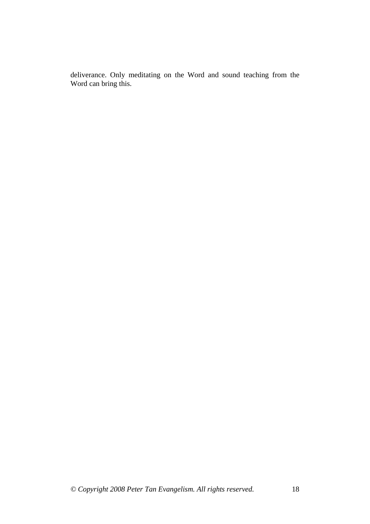deliverance. Only meditating on the Word and sound teaching from the Word can bring this.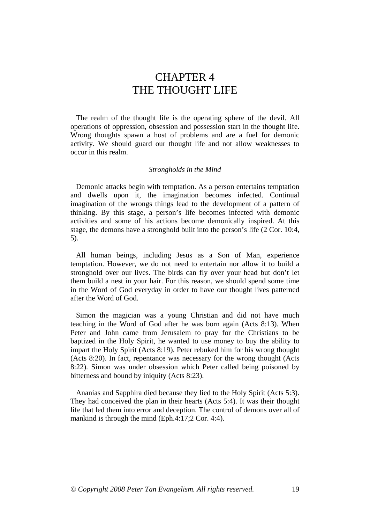## CHAPTER 4 THE THOUGHT LIFE

 The realm of the thought life is the operating sphere of the devil. All operations of oppression, obsession and possession start in the thought life. Wrong thoughts spawn a host of problems and are a fuel for demonic activity. We should guard our thought life and not allow weaknesses to occur in this realm.

#### *Strongholds in the Mind*

 Demonic attacks begin with temptation. As a person entertains temptation and dwells upon it, the imagination becomes infected. Continual imagination of the wrongs things lead to the development of a pattern of thinking. By this stage, a person's life becomes infected with demonic activities and some of his actions become demonically inspired. At this stage, the demons have a stronghold built into the person's life (2 Cor. 10:4, 5).

 All human beings, including Jesus as a Son of Man, experience temptation. However, we do not need to entertain nor allow it to build a stronghold over our lives. The birds can fly over your head but don't let them build a nest in your hair. For this reason, we should spend some time in the Word of God everyday in order to have our thought lives patterned after the Word of God.

 Simon the magician was a young Christian and did not have much teaching in the Word of God after he was born again (Acts 8:13). When Peter and John came from Jerusalem to pray for the Christians to be baptized in the Holy Spirit, he wanted to use money to buy the ability to impart the Holy Spirit (Acts 8:19). Peter rebuked him for his wrong thought (Acts 8:20). In fact, repentance was necessary for the wrong thought (Acts 8:22). Simon was under obsession which Peter called being poisoned by bitterness and bound by iniquity (Acts 8:23).

 Ananias and Sapphira died because they lied to the Holy Spirit (Acts 5:3). They had conceived the plan in their hearts (Acts 5:4). It was their thought life that led them into error and deception. The control of demons over all of mankind is through the mind (Eph.4:17;2 Cor. 4:4).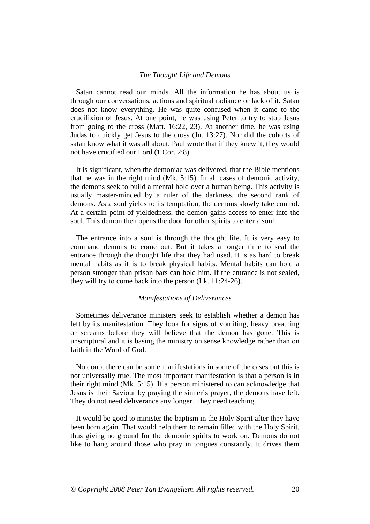#### *The Thought Life and Demons*

 Satan cannot read our minds. All the information he has about us is through our conversations, actions and spiritual radiance or lack of it. Satan does not know everything. He was quite confused when it came to the crucifixion of Jesus. At one point, he was using Peter to try to stop Jesus from going to the cross (Matt. 16:22, 23). At another time, he was using Judas to quickly get Jesus to the cross (Jn. 13:27). Nor did the cohorts of satan know what it was all about. Paul wrote that if they knew it, they would not have crucified our Lord (1 Cor. 2:8).

 It is significant, when the demoniac was delivered, that the Bible mentions that he was in the right mind (Mk. 5:15). In all cases of demonic activity, the demons seek to build a mental hold over a human being. This activity is usually master-minded by a ruler of the darkness, the second rank of demons. As a soul yields to its temptation, the demons slowly take control. At a certain point of yieldedness, the demon gains access to enter into the soul. This demon then opens the door for other spirits to enter a soul.

 The entrance into a soul is through the thought life. It is very easy to command demons to come out. But it takes a longer time to seal the entrance through the thought life that they had used. It is as hard to break mental habits as it is to break physical habits. Mental habits can hold a person stronger than prison bars can hold him. If the entrance is not sealed, they will try to come back into the person (Lk. 11:24-26).

#### *Manifestations of Deliverances*

 Sometimes deliverance ministers seek to establish whether a demon has left by its manifestation. They look for signs of vomiting, heavy breathing or screams before they will believe that the demon has gone. This is unscriptural and it is basing the ministry on sense knowledge rather than on faith in the Word of God.

 No doubt there can be some manifestations in some of the cases but this is not universally true. The most important manifestation is that a person is in their right mind (Mk. 5:15). If a person ministered to can acknowledge that Jesus is their Saviour by praying the sinner's prayer, the demons have left. They do not need deliverance any longer. They need teaching.

 It would be good to minister the baptism in the Holy Spirit after they have been born again. That would help them to remain filled with the Holy Spirit, thus giving no ground for the demonic spirits to work on. Demons do not like to hang around those who pray in tongues constantly. It drives them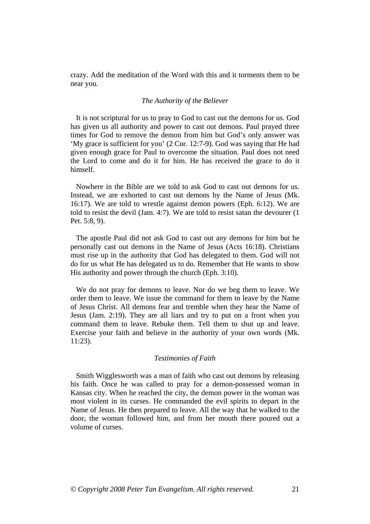crazy. Add the meditation of the Word with this and it torments them to be near you.

#### *The Authority of the Believer*

 It is not scriptural for us to pray to God to cast out the demons for us. God has given us all authority and power to cast out demons. Paul prayed three times for God to remove the demon from him but God's only answer was 'My grace is sufficient for you' (2 Cor. 12:7-9). God was saying that He had given enough grace for Paul to overcome the situation. Paul does not need the Lord to come and do it for him. He has received the grace to do it himself.

 Nowhere in the Bible are we told to ask God to cast out demons for us. Instead, we are exhorted to cast out demons by the Name of Jesus (Mk. 16:17). We are told to wrestle against demon powers (Eph. 6:12). We are told to resist the devil (Jam. 4:7). We are told to resist satan the devourer (1 Pet. 5:8, 9).

 The apostle Paul did not ask God to cast out any demons for him but he personally cast out demons in the Name of Jesus (Acts 16:18). Christians must rise up in the authority that God has delegated to them. God will not do for us what He has delegated us to do. Remember that He wants to show His authority and power through the church (Eph. 3:10).

 We do not pray for demons to leave. Nor do we beg them to leave. We order them to leave. We issue the command for them to leave by the Name of Jesus Christ. All demons fear and tremble when they hear the Name of Jesus (Jam. 2:19). They are all liars and try to put on a front when you command them to leave. Rebuke them. Tell them to shut up and leave. Exercise your faith and believe in the authority of your own words (Mk. 11:23).

#### *Testimonies of Faith*

 Smith Wigglesworth was a man of faith who cast out demons by releasing his faith. Once he was called to pray for a demon-possessed woman in Kansas city. When he reached the city, the demon power in the woman was most violent in its curses. He commanded the evil spirits to depart in the Name of Jesus. He then prepared to leave. All the way that he walked to the door, the woman followed him, and from her mouth there poured out a volume of curses.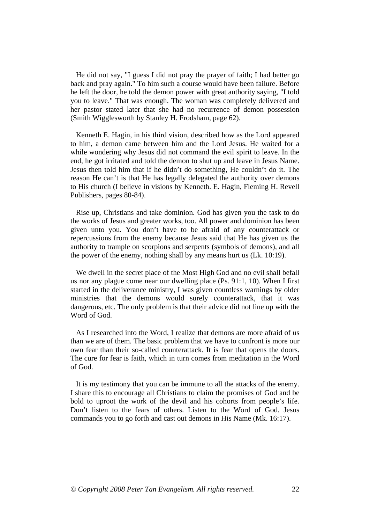He did not say, "I guess I did not pray the prayer of faith; I had better go back and pray again." To him such a course would have been failure. Before he left the door, he told the demon power with great authority saying, "I told you to leave." That was enough. The woman was completely delivered and her pastor stated later that she had no recurrence of demon possession (Smith Wigglesworth by Stanley H. Frodsham, page 62).

 Kenneth E. Hagin, in his third vision, described how as the Lord appeared to him, a demon came between him and the Lord Jesus. He waited for a while wondering why Jesus did not command the evil spirit to leave. In the end, he got irritated and told the demon to shut up and leave in Jesus Name. Jesus then told him that if he didn't do something, He couldn't do it. The reason He can't is that He has legally delegated the authority over demons to His church (I believe in visions by Kenneth. E. Hagin, Fleming H. Revell Publishers, pages 80-84).

 Rise up, Christians and take dominion. God has given you the task to do the works of Jesus and greater works, too. All power and dominion has been given unto you. You don't have to be afraid of any counterattack or repercussions from the enemy because Jesus said that He has given us the authority to trample on scorpions and serpents (symbols of demons), and all the power of the enemy, nothing shall by any means hurt us (Lk. 10:19).

 We dwell in the secret place of the Most High God and no evil shall befall us nor any plague come near our dwelling place (Ps. 91:1, 10). When I first started in the deliverance ministry, I was given countless warnings by older ministries that the demons would surely counterattack, that it was dangerous, etc. The only problem is that their advice did not line up with the Word of God.

 As I researched into the Word, I realize that demons are more afraid of us than we are of them. The basic problem that we have to confront is more our own fear than their so-called counterattack. It is fear that opens the doors. The cure for fear is faith, which in turn comes from meditation in the Word of God.

 It is my testimony that you can be immune to all the attacks of the enemy. I share this to encourage all Christians to claim the promises of God and be bold to uproot the work of the devil and his cohorts from people's life. Don't listen to the fears of others. Listen to the Word of God. Jesus commands you to go forth and cast out demons in His Name (Mk. 16:17).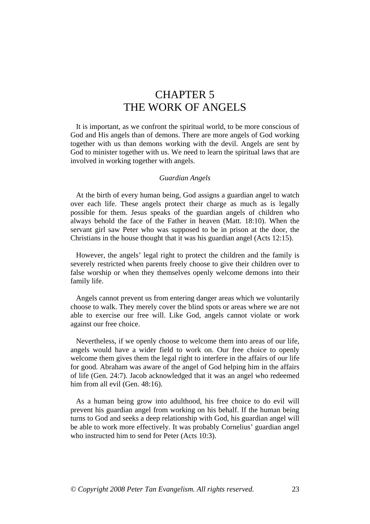# CHAPTER 5 THE WORK OF ANGELS

 It is important, as we confront the spiritual world, to be more conscious of God and His angels than of demons. There are more angels of God working together with us than demons working with the devil. Angels are sent by God to minister together with us. We need to learn the spiritual laws that are involved in working together with angels.

#### *Guardian Angels*

 At the birth of every human being, God assigns a guardian angel to watch over each life. These angels protect their charge as much as is legally possible for them. Jesus speaks of the guardian angels of children who always behold the face of the Father in heaven (Matt. 18:10). When the servant girl saw Peter who was supposed to be in prison at the door, the Christians in the house thought that it was his guardian angel (Acts 12:15).

 However, the angels' legal right to protect the children and the family is severely restricted when parents freely choose to give their children over to false worship or when they themselves openly welcome demons into their family life.

 Angels cannot prevent us from entering danger areas which we voluntarily choose to walk. They merely cover the blind spots or areas where we are not able to exercise our free will. Like God, angels cannot violate or work against our free choice.

 Nevertheless, if we openly choose to welcome them into areas of our life, angels would have a wider field to work on. Our free choice to openly welcome them gives them the legal right to interfere in the affairs of our life for good. Abraham was aware of the angel of God helping him in the affairs of life (Gen. 24:7). Jacob acknowledged that it was an angel who redeemed him from all evil (Gen. 48:16).

 As a human being grow into adulthood, his free choice to do evil will prevent his guardian angel from working on his behalf. If the human being turns to God and seeks a deep relationship with God, his guardian angel will be able to work more effectively. It was probably Cornelius' guardian angel who instructed him to send for Peter (Acts 10:3).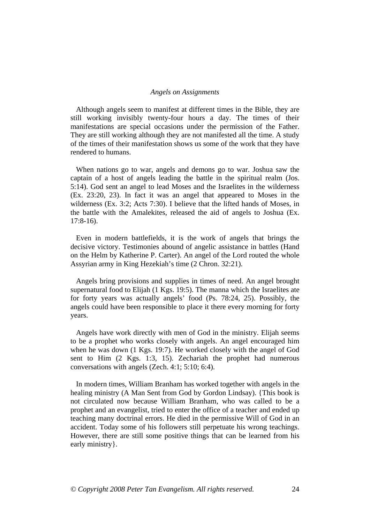#### *Angels on Assignments*

 Although angels seem to manifest at different times in the Bible, they are still working invisibly twenty-four hours a day. The times of their manifestations are special occasions under the permission of the Father. They are still working although they are not manifested all the time. A study of the times of their manifestation shows us some of the work that they have rendered to humans.

 When nations go to war, angels and demons go to war. Joshua saw the captain of a host of angels leading the battle in the spiritual realm (Jos. 5:14). God sent an angel to lead Moses and the Israelites in the wilderness (Ex. 23:20, 23). In fact it was an angel that appeared to Moses in the wilderness (Ex. 3:2; Acts 7:30). I believe that the lifted hands of Moses, in the battle with the Amalekites, released the aid of angels to Joshua (Ex. 17:8-16).

 Even in modern battlefields, it is the work of angels that brings the decisive victory. Testimonies abound of angelic assistance in battles (Hand on the Helm by Katherine P. Carter). An angel of the Lord routed the whole Assyrian army in King Hezekiah's time (2 Chron. 32:21).

 Angels bring provisions and supplies in times of need. An angel brought supernatural food to Elijah (1 Kgs. 19:5). The manna which the Israelites ate for forty years was actually angels' food (Ps. 78:24, 25). Possibly, the angels could have been responsible to place it there every morning for forty years.

 Angels have work directly with men of God in the ministry. Elijah seems to be a prophet who works closely with angels. An angel encouraged him when he was down (1 Kgs. 19:7). He worked closely with the angel of God sent to Him (2 Kgs. 1:3, 15). Zechariah the prophet had numerous conversations with angels (Zech. 4:1; 5:10; 6:4).

 In modern times, William Branham has worked together with angels in the healing ministry (A Man Sent from God by Gordon Lindsay). {This book is not circulated now because William Branham, who was called to be a prophet and an evangelist, tried to enter the office of a teacher and ended up teaching many doctrinal errors. He died in the permissive Will of God in an accident. Today some of his followers still perpetuate his wrong teachings. However, there are still some positive things that can be learned from his early ministry }.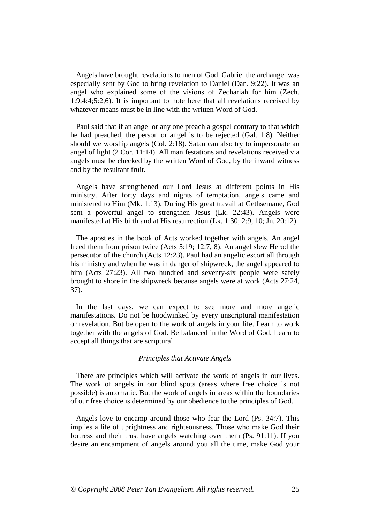Angels have brought revelations to men of God. Gabriel the archangel was especially sent by God to bring revelation to Daniel (Dan. 9:22). It was an angel who explained some of the visions of Zechariah for him (Zech. 1:9;4:4;5:2,6). It is important to note here that all revelations received by whatever means must be in line with the written Word of God.

 Paul said that if an angel or any one preach a gospel contrary to that which he had preached, the person or angel is to be rejected (Gal. 1:8). Neither should we worship angels (Col. 2:18). Satan can also try to impersonate an angel of light (2 Cor. 11:14). All manifestations and revelations received via angels must be checked by the written Word of God, by the inward witness and by the resultant fruit.

 Angels have strengthened our Lord Jesus at different points in His ministry. After forty days and nights of temptation, angels came and ministered to Him (Mk. 1:13). During His great travail at Gethsemane, God sent a powerful angel to strengthen Jesus (Lk. 22:43). Angels were manifested at His birth and at His resurrection (Lk. 1:30; 2:9, 10; Jn. 20:12).

 The apostles in the book of Acts worked together with angels. An angel freed them from prison twice (Acts 5:19; 12:7, 8). An angel slew Herod the persecutor of the church (Acts 12:23). Paul had an angelic escort all through his ministry and when he was in danger of shipwreck, the angel appeared to him (Acts 27:23). All two hundred and seventy-six people were safely brought to shore in the shipwreck because angels were at work (Acts 27:24, 37).

 In the last days, we can expect to see more and more angelic manifestations. Do not be hoodwinked by every unscriptural manifestation or revelation. But be open to the work of angels in your life. Learn to work together with the angels of God. Be balanced in the Word of God. Learn to accept all things that are scriptural.

#### *Principles that Activate Angels*

 There are principles which will activate the work of angels in our lives. The work of angels in our blind spots (areas where free choice is not possible) is automatic. But the work of angels in areas within the boundaries of our free choice is determined by our obedience to the principles of God.

 Angels love to encamp around those who fear the Lord (Ps. 34:7). This implies a life of uprightness and righteousness. Those who make God their fortress and their trust have angels watching over them (Ps. 91:11). If you desire an encampment of angels around you all the time, make God your